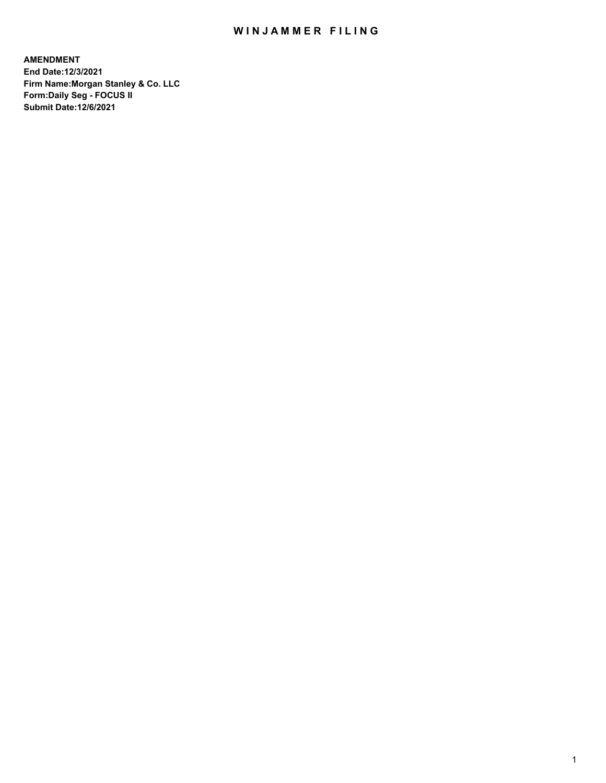# WIN JAMMER FILING

**AMENDMENT End Date:12/3/2021 Firm Name:Morgan Stanley & Co. LLC Form:Daily Seg - FOCUS II Submit Date:12/6/2021**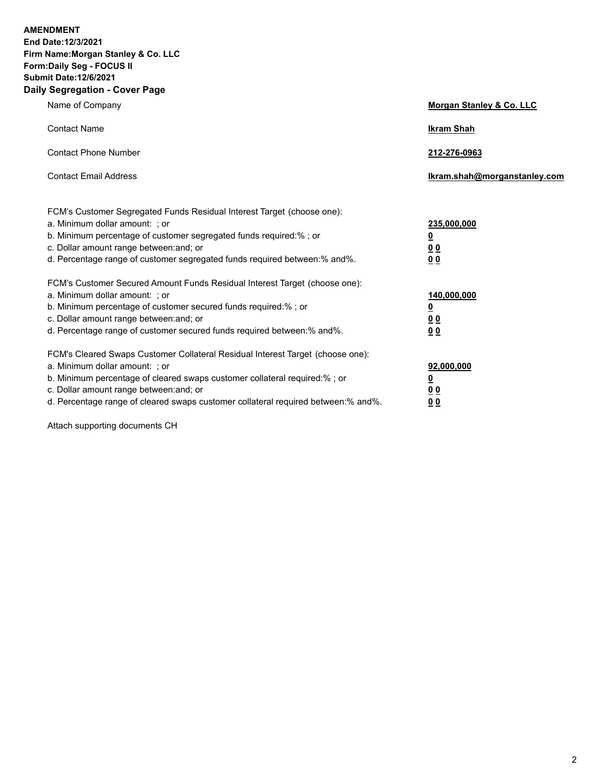**AMENDMENT** 

**End Date:12/3/2021 Firm Name:Morgan Stanley & Co. LLC Form:Daily Seg - FOCUS II Submit Date:12/6/2021 Daily Segregation - Cover Page**

| Name of Company                                                                                              | Morgan Stanley & Co. LLC     |
|--------------------------------------------------------------------------------------------------------------|------------------------------|
| <b>Contact Name</b>                                                                                          | <b>Ikram Shah</b>            |
| <b>Contact Phone Number</b>                                                                                  | 212-276-0963                 |
| <b>Contact Email Address</b>                                                                                 | lkram.shah@morganstanley.com |
| FCM's Customer Segregated Funds Residual Interest Target (choose one):<br>a. Minimum dollar amount: ; or     | 235,000,000                  |
| b. Minimum percentage of customer segregated funds required:%; or<br>c. Dollar amount range between: and; or | <u>0</u><br><u>00</u>        |
| d. Percentage range of customer segregated funds required between:% and%.                                    | 0 Q                          |
| FCM's Customer Secured Amount Funds Residual Interest Target (choose one):<br>a. Minimum dollar amount: ; or | 140,000,000                  |
| b. Minimum percentage of customer secured funds required:% ; or                                              | <u>0</u>                     |
| c. Dollar amount range between: and; or                                                                      | <u>00</u>                    |
| d. Percentage range of customer secured funds required between:% and%.                                       | 0 <sup>0</sup>               |
| FCM's Cleared Swaps Customer Collateral Residual Interest Target (choose one):                               |                              |
| a. Minimum dollar amount: ; or                                                                               | 92,000,000                   |
| b. Minimum percentage of cleared swaps customer collateral required:% ; or                                   | <u>0</u>                     |
| c. Dollar amount range between: and; or                                                                      | <u>0 0</u>                   |
| d. Percentage range of cleared swaps customer collateral required between:% and%.                            | 0 <sub>0</sub>               |

Attach supporting documents CH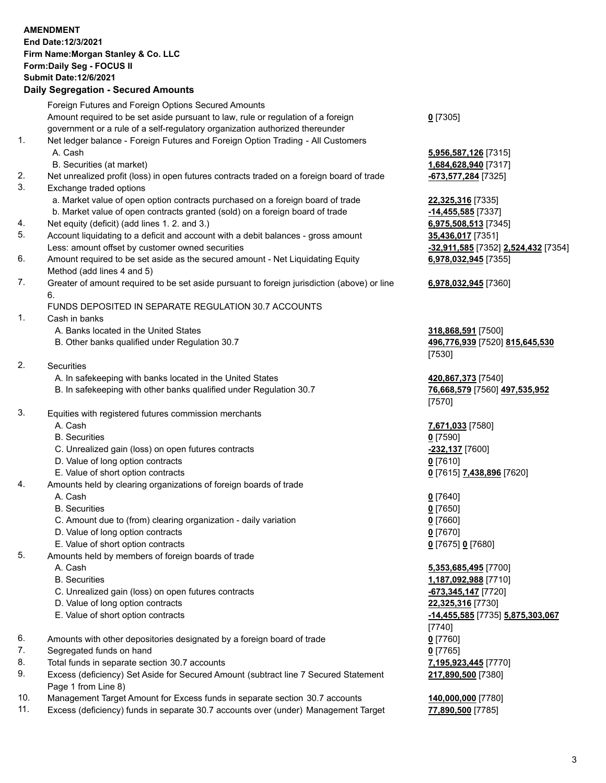### **AMENDMENT End Date:12/3/2021 Firm Name:Morgan Stanley & Co. LLC Form:Daily Seg - FOCUS II Submit Date:12/6/2021 Daily Segregation - Secured Amounts** Foreign Futures and Foreign Options Secured Amounts

Amount required to be set aside pursuant to law, rule or regulation of a foreign government or a rule of a self-regulatory organization authorized thereunder

- 1. Net ledger balance Foreign Futures and Foreign Option Trading All Customers A. Cash **5,956,587,126** [7315]
	-
	- B. Securities (at market) **1,684,628,940** [7317]
- 2. Net unrealized profit (loss) in open futures contracts traded on a foreign board of trade **-673,577,284** [7325]
- 3. Exchange traded options
	- a. Market value of open option contracts purchased on a foreign board of trade **22,325,316** [7335]
	- b. Market value of open contracts granted (sold) on a foreign board of trade **-14,455,585** [7337]
- 4. Net equity (deficit) (add lines 1. 2. and 3.) **6,975,508,513** [7345]
- 5. Account liquidating to a deficit and account with a debit balances gross amount **35,436,017** [7351] Less: amount offset by customer owned securities **-32,911,585** [7352] **2,524,432** [7354]
- 6. Amount required to be set aside as the secured amount Net Liquidating Equity Method (add lines 4 and 5)
- 7. Greater of amount required to be set aside pursuant to foreign jurisdiction (above) or line 6.

# FUNDS DEPOSITED IN SEPARATE REGULATION 30.7 ACCOUNTS

- 1. Cash in banks
	- A. Banks located in the United States **318,868,591** [7500]
	- B. Other banks qualified under Regulation 30.7 **496,776,939** [7520] **815,645,530**
- 2. Securities
	- A. In safekeeping with banks located in the United States **420,867,373** [7540]
	- B. In safekeeping with other banks qualified under Regulation 30.7 **76,668,579** [7560] **497,535,952**
- 3. Equities with registered futures commission merchants
	-
	- B. Securities **0** [7590]
	- C. Unrealized gain (loss) on open futures contracts **-232,137** [7600]
	- D. Value of long option contracts **0** [7610]
- E. Value of short option contracts **0** [7615] **7,438,896** [7620]
- 4. Amounts held by clearing organizations of foreign boards of trade
	- A. Cash **0** [7640]
	- B. Securities **0** [7650]
	- C. Amount due to (from) clearing organization daily variation **0** [7660]
	- D. Value of long option contracts **0** [7670]
	- E. Value of short option contracts **0** [7675] **0** [7680]
- 5. Amounts held by members of foreign boards of trade
	-
	-
	- C. Unrealized gain (loss) on open futures contracts **-673,345,147** [7720]
	- D. Value of long option contracts **22,325,316** [7730]
	- E. Value of short option contracts **-14,455,585** [7735] **5,875,303,067**
- 6. Amounts with other depositories designated by a foreign board of trade **0** [7760]
- 7. Segregated funds on hand **0** [7765]
- 8. Total funds in separate section 30.7 accounts **7,195,923,445** [7770]
- 9. Excess (deficiency) Set Aside for Secured Amount (subtract line 7 Secured Statement Page 1 from Line 8)
- 10. Management Target Amount for Excess funds in separate section 30.7 accounts **140,000,000** [7780]
- 11. Excess (deficiency) funds in separate 30.7 accounts over (under) Management Target **77,890,500** [7785]

**0** [7305]

**6,978,032,945** [7355]

# **6,978,032,945** [7360]

[7530]

[7570]

A. Cash **7,671,033** [7580]

 A. Cash **5,353,685,495** [7700] B. Securities **1,187,092,988** [7710] [7740] **217,890,500** [7380]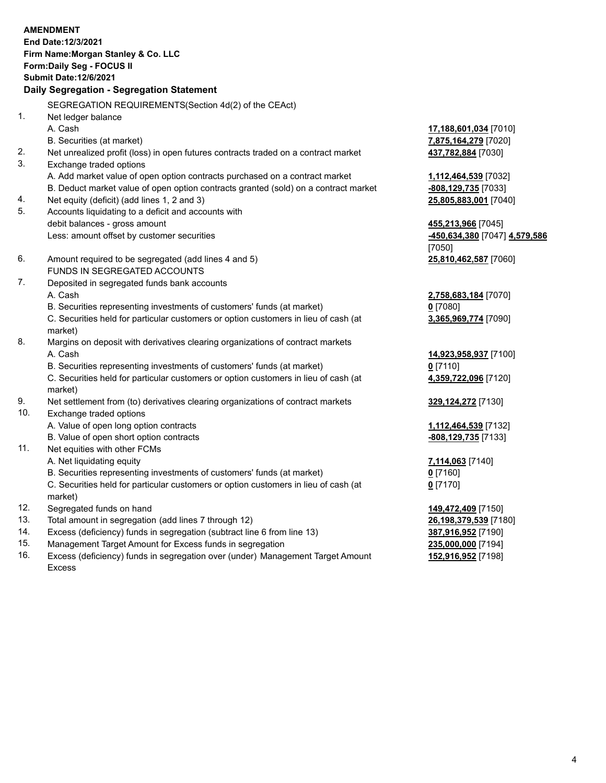|     | <b>AMENDMENT</b>                                                                               |                                      |
|-----|------------------------------------------------------------------------------------------------|--------------------------------------|
|     | End Date: 12/3/2021                                                                            |                                      |
|     | Firm Name: Morgan Stanley & Co. LLC                                                            |                                      |
|     | Form: Daily Seg - FOCUS II                                                                     |                                      |
|     | <b>Submit Date: 12/6/2021</b>                                                                  |                                      |
|     | Daily Segregation - Segregation Statement                                                      |                                      |
|     | SEGREGATION REQUIREMENTS(Section 4d(2) of the CEAct)                                           |                                      |
| 1.  | Net ledger balance                                                                             |                                      |
|     | A. Cash                                                                                        | 17,188,601,034 [7010]                |
|     | B. Securities (at market)                                                                      | 7,875,164,279 [7020]                 |
| 2.  | Net unrealized profit (loss) in open futures contracts traded on a contract market             | 437,782,884 [7030]                   |
| 3.  | Exchange traded options                                                                        |                                      |
|     | A. Add market value of open option contracts purchased on a contract market                    | 1,112,464,539 [7032]                 |
|     | B. Deduct market value of open option contracts granted (sold) on a contract market            | -808,129,735 [7033]                  |
| 4.  | Net equity (deficit) (add lines 1, 2 and 3)                                                    | 25,805,883,001 [7040]                |
| 5.  | Accounts liquidating to a deficit and accounts with                                            |                                      |
|     | debit balances - gross amount                                                                  | 455,213,966 [7045]                   |
|     | Less: amount offset by customer securities                                                     | <u>-450,634,380</u> [7047] 4,579,586 |
|     |                                                                                                | [7050]                               |
| 6.  | Amount required to be segregated (add lines 4 and 5)                                           | 25,810,462,587 [7060]                |
|     | FUNDS IN SEGREGATED ACCOUNTS                                                                   |                                      |
| 7.  | Deposited in segregated funds bank accounts                                                    |                                      |
|     | A. Cash                                                                                        | 2,758,683,184 [7070]                 |
|     | B. Securities representing investments of customers' funds (at market)                         | $0$ [7080]                           |
|     | C. Securities held for particular customers or option customers in lieu of cash (at            | 3,365,969,774 [7090]                 |
|     | market)                                                                                        |                                      |
| 8.  | Margins on deposit with derivatives clearing organizations of contract markets                 |                                      |
|     | A. Cash                                                                                        | 14,923,958,937 [7100]                |
|     | B. Securities representing investments of customers' funds (at market)                         | $0$ [7110]                           |
|     | C. Securities held for particular customers or option customers in lieu of cash (at<br>market) | 4,359,722,096 [7120]                 |
| 9.  | Net settlement from (to) derivatives clearing organizations of contract markets                | 329, 124, 272 [7130]                 |
| 10. | Exchange traded options                                                                        |                                      |
|     | A. Value of open long option contracts                                                         | 1,112,464,539 [7132]                 |
|     | B. Value of open short option contracts                                                        | -808,129,735 [7133]                  |
| 11. | Net equities with other FCMs                                                                   |                                      |
|     | A. Net liquidating equity                                                                      | 7,114,063 <sup>[7140]</sup>          |
|     | B. Securities representing investments of customers' funds (at market)                         | $0$ [7160]                           |
|     | C. Securities held for particular customers or option customers in lieu of cash (at            | $0$ [7170]                           |
|     | market)                                                                                        |                                      |
| 12. | Segregated funds on hand                                                                       | 149,472,409 [7150]                   |
| 13. | Total amount in segregation (add lines 7 through 12)                                           | 26,198,379,539 [7180]                |
| 14. | Excess (deficiency) funds in segregation (subtract line 6 from line 13)                        | 387,916,952 [7190]                   |

- 
- 15. Management Target Amount for Excess funds in segregation<br>16. Excess (deficiency) funds in segregation over (under) Management Target Amount 152,916,952 [7198] Excess (deficiency) funds in segregation over (under) Management Target Amount Excess

**152,916,952** [7198]